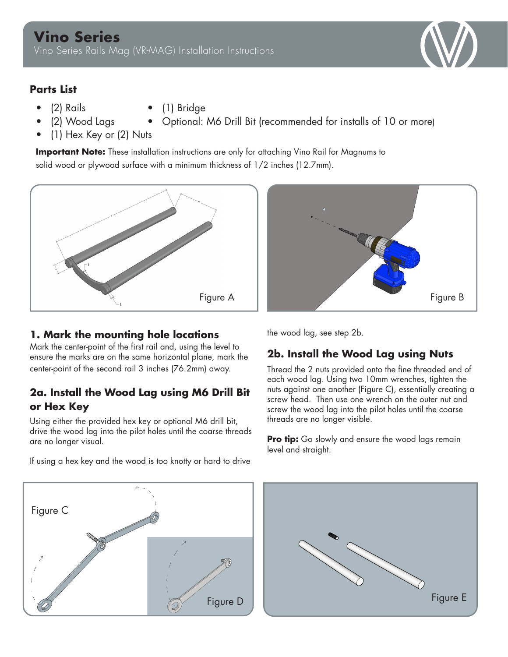

## **Parts List**

- (2) Rails
- (1) Bridge
- (2) Wood Lags
- Optional: M6 Drill Bit (recommended for installs of 10 or more)
- (1) Hex Key or (2) Nuts

**Important Note:** These installation instructions are only for attaching Vino Rail for Magnums to solid wood or plywood surface with a minimum thickness of 1/2 inches (12.7mm).



# Figure B

# **1. Mark the mounting hole locations**

Mark the center-point of the first rail and, using the level to ensure the marks are on the same horizontal plane, mark the center-point of the second rail 3 inches (76.2mm) away.

## **2a. Install the Wood Lag using M6 Drill Bit or Hex Key**

Using either the provided hex key or optional M6 drill bit, drive the wood lag into the pilot holes until the coarse threads are no longer visual.

the wood lag, see step 2b.

# **2b. Install the Wood Lag using Nuts**

Thread the 2 nuts provided onto the fine threaded end of each wood lag. Using two 10mm wrenches, tighten the nuts against one another (Figure C), essentially creating a screw head. Then use one wrench on the outer nut and screw the wood lag into the pilot holes until the coarse threads are no longer visible.

**Pro tip:** Go slowly and ensure the wood lags remain level and straight.



If using a hex key and the wood is too knotty or hard to drive